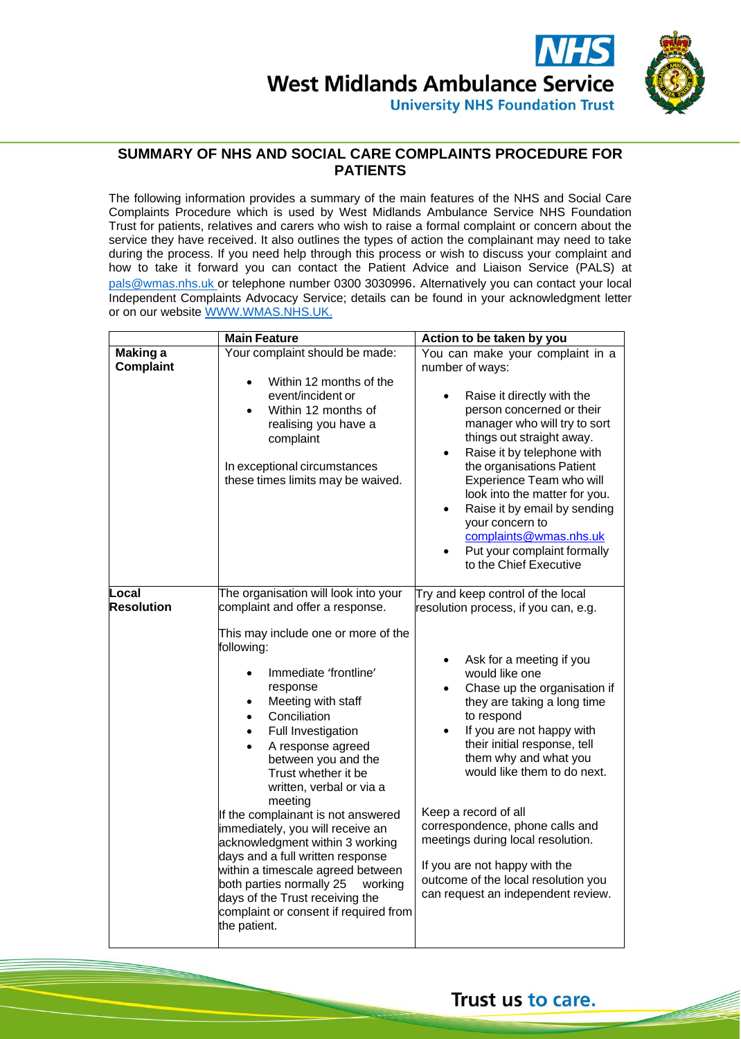

## **SUMMARY OF NHS AND SOCIAL CARE COMPLAINTS PROCEDURE FOR PATIENTS**

The following information provides a summary of the main features of the NHS and Social Care Complaints Procedure which is used by West Midlands Ambulance Service NHS Foundation Trust for patients, relatives and carers who wish to raise a formal complaint or concern about the service they have received. It also outlines the types of action the complainant may need to take during the process. If you need help through this process or wish to discuss your complaint and how to take it forward you can contact the Patient Advice and Liaison Service (PALS) at [pals@wmas.nhs.uk o](mailto:pals@wmas.nhs.uk)r telephone number 0300 3030996. Alternatively you can contact your local Independent Complaints Advocacy Service; details can be found in your acknowledgment letter or on our website [WWW.WMAS.NHS.UK.](http://www.wmas.nhs.uk/)

|                                     | <b>Main Feature</b>                                                                                                                                                                                                                                                                                                                                                                                                                                                                                                                                                                                                                                                                             | Action to be taken by you                                                                                                                                                                                                                                                                                                                                                                                                                                                                                                                                                      |
|-------------------------------------|-------------------------------------------------------------------------------------------------------------------------------------------------------------------------------------------------------------------------------------------------------------------------------------------------------------------------------------------------------------------------------------------------------------------------------------------------------------------------------------------------------------------------------------------------------------------------------------------------------------------------------------------------------------------------------------------------|--------------------------------------------------------------------------------------------------------------------------------------------------------------------------------------------------------------------------------------------------------------------------------------------------------------------------------------------------------------------------------------------------------------------------------------------------------------------------------------------------------------------------------------------------------------------------------|
| <b>Making a</b><br><b>Complaint</b> | Your complaint should be made:<br>Within 12 months of the<br>event/incident or<br>Within 12 months of<br>$\bullet$<br>realising you have a<br>complaint<br>In exceptional circumstances<br>these times limits may be waived.                                                                                                                                                                                                                                                                                                                                                                                                                                                                    | You can make your complaint in a<br>number of ways:<br>Raise it directly with the<br>person concerned or their<br>manager who will try to sort<br>things out straight away.<br>Raise it by telephone with<br>$\bullet$<br>the organisations Patient<br>Experience Team who will<br>look into the matter for you.<br>Raise it by email by sending<br>$\bullet$<br>your concern to<br>complaints@wmas.nhs.uk<br>Put your complaint formally<br>to the Chief Executive                                                                                                            |
| Local<br><b>Resolution</b>          | The organisation will look into your<br>complaint and offer a response.<br>This may include one or more of the<br>following:<br>Immediate 'frontline'<br>response<br>Meeting with staff<br>٠<br>Conciliation<br>Full Investigation<br>$\bullet$<br>A response agreed<br>$\bullet$<br>between you and the<br>Trust whether it be<br>written, verbal or via a<br>meeting<br>If the complainant is not answered<br>immediately, you will receive an<br>acknowledgment within 3 working<br>days and a full written response<br>within a timescale agreed between<br>both parties normally 25<br>working<br>days of the Trust receiving the<br>complaint or consent if required from<br>the patient. | Try and keep control of the local<br>resolution process, if you can, e.g.<br>Ask for a meeting if you<br>$\bullet$<br>would like one<br>Chase up the organisation if<br>$\bullet$<br>they are taking a long time<br>to respond<br>If you are not happy with<br>$\bullet$<br>their initial response, tell<br>them why and what you<br>would like them to do next.<br>Keep a record of all<br>correspondence, phone calls and<br>meetings during local resolution.<br>If you are not happy with the<br>outcome of the local resolution you<br>can request an independent review. |

Trust us to care.